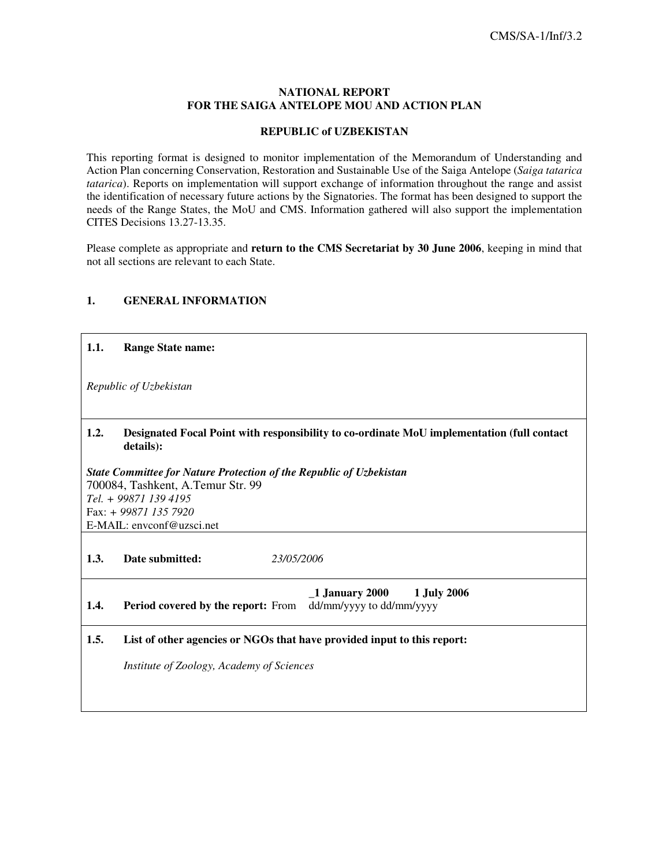### **NATIONAL REPORT FOR THE SAIGA ANTELOPE MOU AND ACTION PLAN**

## **REPUBLIC of UZBEKISTAN**

This reporting format is designed to monitor implementation of the Memorandum of Understanding and Action Plan concerning Conservation, Restoration and Sustainable Use of the Saiga Antelope (*Saiga tatarica tatarica*). Reports on implementation will support exchange of information throughout the range and assist the identification of necessary future actions by the Signatories. The format has been designed to support the needs of the Range States, the MoU and CMS. Information gathered will also support the implementation CITES Decisions 13.27-13.35.

Please complete as appropriate and **return to the CMS Secretariat by 30 June 2006**, keeping in mind that not all sections are relevant to each State.

# **1. GENERAL INFORMATION**

| 1.1. | <b>Range State name:</b>                                                                                |
|------|---------------------------------------------------------------------------------------------------------|
|      | Republic of Uzbekistan                                                                                  |
| 1.2. | Designated Focal Point with responsibility to co-ordinate MoU implementation (full contact<br>details): |
|      | State Committee for Nature Protection of the Republic of Uzbekistan                                     |
|      | 700084, Tashkent, A.Temur Str. 99                                                                       |
|      | Tel. + 99871 139 4195<br>Fax: + 99871 135 7920                                                          |
|      | E-MAIL: envconf@uzsci.net                                                                               |
|      |                                                                                                         |
| 1.3. | Date submitted:<br>23/05/2006                                                                           |
| 1.4. | 1 January 2000 1 July 2006<br>dd/mm/yyyy to dd/mm/yyyy<br><b>Period covered by the report:</b> From     |
| 1.5. | List of other agencies or NGOs that have provided input to this report:                                 |
|      | Institute of Zoology, Academy of Sciences                                                               |
|      |                                                                                                         |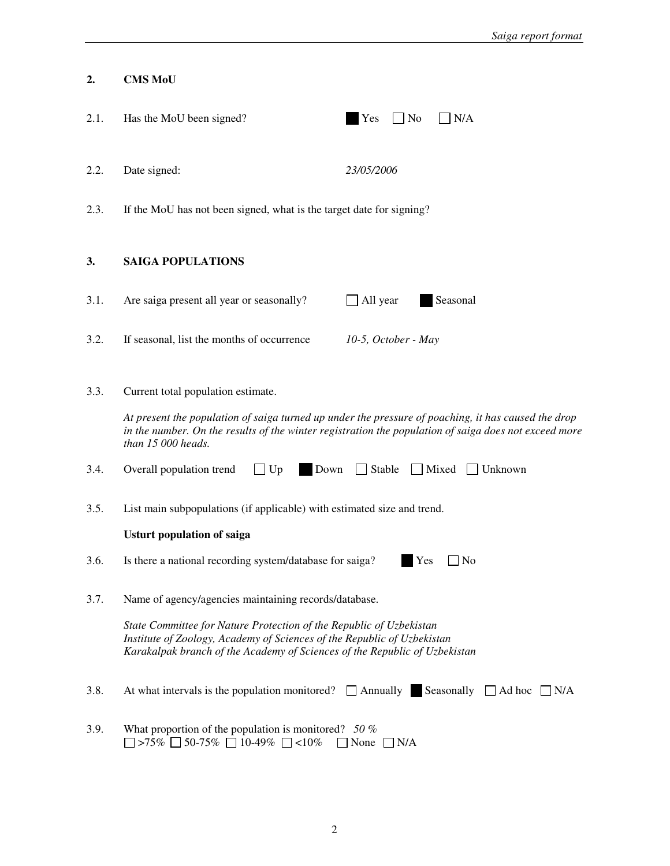| 2.   | <b>CMS MoU</b>                                                                                                                                                                                                               |                                                                                                                                                                                                              |
|------|------------------------------------------------------------------------------------------------------------------------------------------------------------------------------------------------------------------------------|--------------------------------------------------------------------------------------------------------------------------------------------------------------------------------------------------------------|
| 2.1. | Has the MoU been signed?                                                                                                                                                                                                     | Yes<br>$\Box$ No<br>N/A                                                                                                                                                                                      |
| 2.2. | Date signed:                                                                                                                                                                                                                 | 23/05/2006                                                                                                                                                                                                   |
| 2.3. | If the MoU has not been signed, what is the target date for signing?                                                                                                                                                         |                                                                                                                                                                                                              |
| 3.   | <b>SAIGA POPULATIONS</b>                                                                                                                                                                                                     |                                                                                                                                                                                                              |
| 3.1. | Are saiga present all year or seasonally?                                                                                                                                                                                    | All year<br>Seasonal                                                                                                                                                                                         |
| 3.2. | If seasonal, list the months of occurrence                                                                                                                                                                                   | $10-5$ , October - May                                                                                                                                                                                       |
| 3.3. | Current total population estimate.<br>than 15 000 heads.                                                                                                                                                                     | At present the population of saiga turned up under the pressure of poaching, it has caused the drop<br>in the number. On the results of the winter registration the population of saiga does not exceed more |
| 3.4. | Overall population trend<br>$\Box$ Up<br>Down                                                                                                                                                                                | Stable<br>Mixed<br>  Unknown                                                                                                                                                                                 |
| 3.5. | List main subpopulations (if applicable) with estimated size and trend.                                                                                                                                                      |                                                                                                                                                                                                              |
|      | <b>Usturt population of saiga</b>                                                                                                                                                                                            |                                                                                                                                                                                                              |
| 3.6. | Is there a national recording system/database for saiga?                                                                                                                                                                     | Yes<br>$\Box$ No                                                                                                                                                                                             |
| 3.7. | Name of agency/agencies maintaining records/database.                                                                                                                                                                        |                                                                                                                                                                                                              |
|      | State Committee for Nature Protection of the Republic of Uzbekistan<br>Institute of Zoology, Academy of Sciences of the Republic of Uzbekistan<br>Karakalpak branch of the Academy of Sciences of the Republic of Uzbekistan |                                                                                                                                                                                                              |
| 3.8. | At what intervals is the population monitored? $\Box$ Annually Seasonally                                                                                                                                                    | $\Box$ Ad hoc<br>$\Box$ N/A                                                                                                                                                                                  |
| 3.9. | What proportion of the population is monitored? 50 $%$<br>>75% $\Box$ 50-75% $\Box$ 10-49% $\Box$ <10%                                                                                                                       | None<br>N/A                                                                                                                                                                                                  |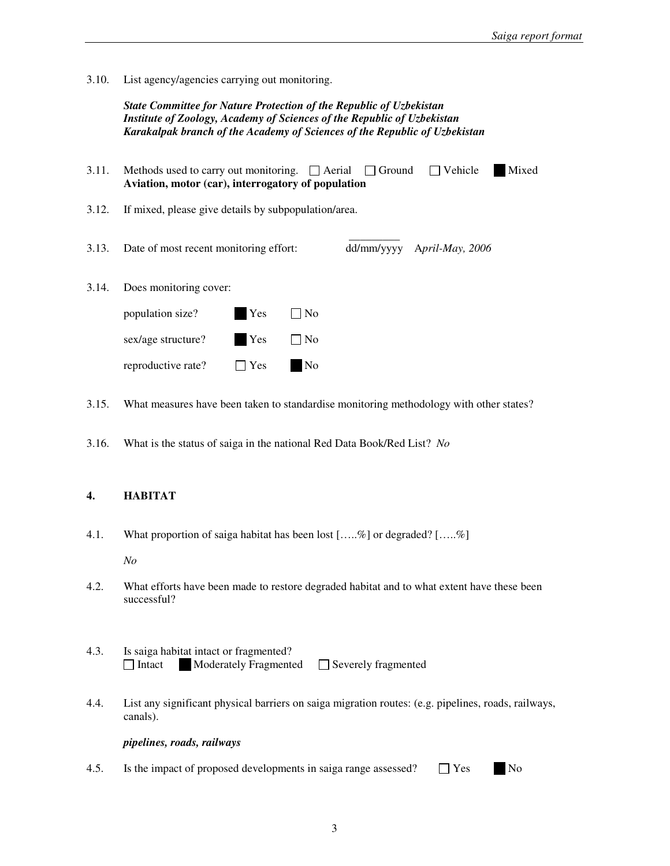3.10. List agency/agencies carrying out monitoring.

*State Committee for Nature Protection of the Republic of Uzbekistan Institute of Zoology, Academy of Sciences of the Republic of Uzbekistan Karakalpak branch of the Academy of Sciences of the Republic of Uzbekistan*

| 3.11. | Methods used to carry out monitoring. $\Box$ Aerial $\Box$ Ground $\Box$ Vehicle<br>Aviation, motor (car), interrogatory of population |                            | Mixed |
|-------|----------------------------------------------------------------------------------------------------------------------------------------|----------------------------|-------|
| 3.12. | If mixed, please give details by subpopulation/area.                                                                                   |                            |       |
|       | 3.13. Date of most recent monitoring effort:                                                                                           | dd/mm/yyyy April-May, 2006 |       |

3.14. Does monitoring cover:

| population size?   | Yes        | $\Box$ No |
|--------------------|------------|-----------|
| sex/age structure? | Yes        | $\Box$ No |
| reproductive rate? | $\Box$ Yes | <b>No</b> |

3.15. What measures have been taken to standardise monitoring methodology with other states?

3.16. What is the status of saiga in the national Red Data Book/Red List? *No*

## **4. HABITAT**

4.1. What proportion of saiga habitat has been lost […..%] or degraded? […..%]

*No* 

- 4.2. What efforts have been made to restore degraded habitat and to what extent have these been successful?
- 4.3. Is saiga habitat intact or fragmented? □ Intact Moderately Fragmented Severely fragmented
- 4.4. List any significant physical barriers on saiga migration routes: (e.g. pipelines, roads, railways, canals).

#### *pipelines, roads, railways*

4.5. Is the impact of proposed developments in saiga range assessed?  $\Box$  Yes No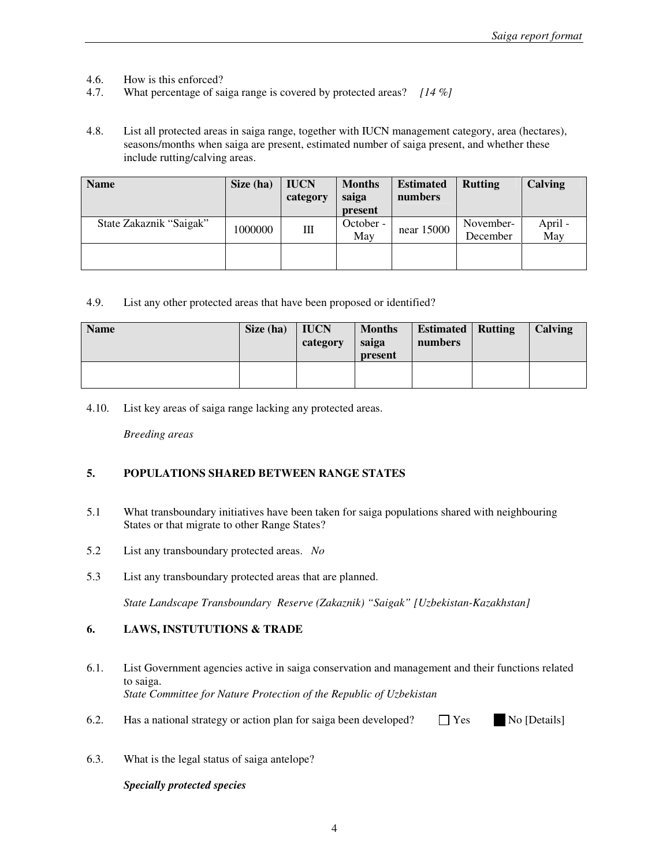- 4.6. How is this enforced?
- 4.7. What percentage of saiga range is covered by protected areas? *[14 %]*
- 4.8. List all protected areas in saiga range, together with IUCN management category, area (hectares), seasons/months when saiga are present, estimated number of saiga present, and whether these include rutting/calving areas.

| <b>Name</b>             | Size (ha) | <b>IUCN</b><br>category | <b>Months</b><br>saiga<br>present | <b>Estimated</b><br>numbers | <b>Rutting</b>        | Calving        |
|-------------------------|-----------|-------------------------|-----------------------------------|-----------------------------|-----------------------|----------------|
| State Zakaznik "Saigak" | 1000000   | Ш                       | October -<br>May                  | near 15000                  | November-<br>December | April -<br>May |
|                         |           |                         |                                   |                             |                       |                |

4.9. List any other protected areas that have been proposed or identified?

| <b>Name</b> | Size (ha) | <b>IUCN</b><br>category | <b>Months</b><br>saiga<br>present | <b>Estimated</b><br>numbers | <b>Rutting</b> | Calving |
|-------------|-----------|-------------------------|-----------------------------------|-----------------------------|----------------|---------|
|             |           |                         |                                   |                             |                |         |

4.10. List key areas of saiga range lacking any protected areas.

*Breeding areas* 

## **5. POPULATIONS SHARED BETWEEN RANGE STATES**

- 5.1 What transboundary initiatives have been taken for saiga populations shared with neighbouring States or that migrate to other Range States?
- 5.2 List any transboundary protected areas. *No*
- 5.3 List any transboundary protected areas that are planned.

*State Landscape Transboundary Reserve (Zakaznik) "Saigak" [Uzbekistan-Kazakhstan]* 

# **6. LAWS, INSTUTUTIONS & TRADE**

- 6.1. List Government agencies active in saiga conservation and management and their functions related to saiga. *State Committee for Nature Protection of the Republic of Uzbekistan*
- 6.2. Has a national strategy or action plan for saiga been developed?  $\Box$  Yes No [Details]
- 6.3. What is the legal status of saiga antelope?

### *Specially protected species*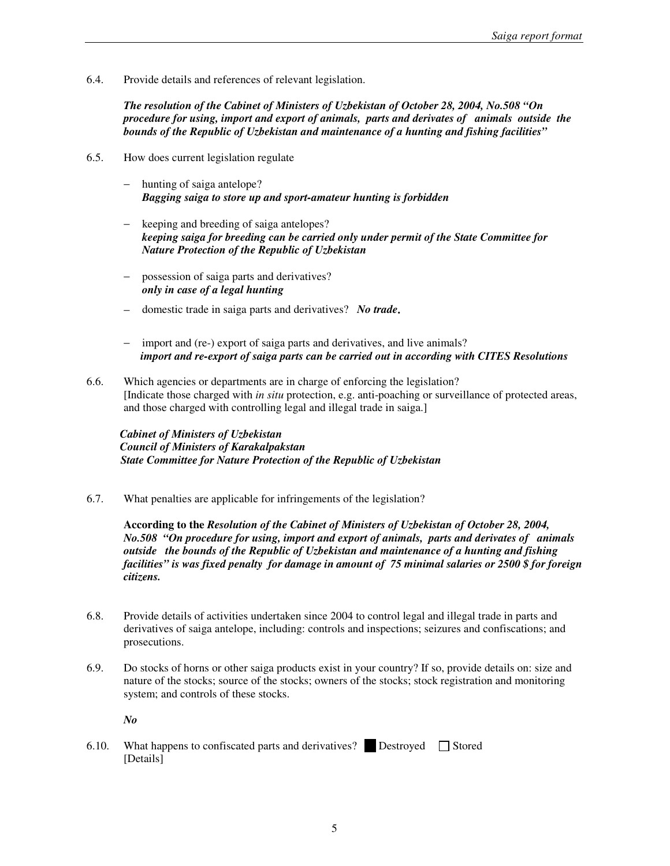6.4. Provide details and references of relevant legislation.

*The resolution of the Cabinet of Ministers of Uzbekistan of October 28, 2004, No.508 "On procedure for using, import and export of animals, parts and derivates of animals outside the bounds of the Republic of Uzbekistan and maintenance of a hunting and fishing facilities"*

- 6.5. How does current legislation regulate
	- hunting of saiga antelope? *Bagging saiga to store up and sport-amateur hunting is forbidden*
	- keeping and breeding of saiga antelopes? *keeping saiga for breeding can be carried only under permit of the State Committee for Nature Protection of the Republic of Uzbekistan*
	- − possession of saiga parts and derivatives? *only in case of a legal hunting*
	- − domestic trade in saiga parts and derivatives? *No trade***.**
	- import and (re-) export of saiga parts and derivatives, and live animals? *import and re-export of saiga parts can be carried out in according with CITES Resolutions*
- 6.6. Which agencies or departments are in charge of enforcing the legislation? [Indicate those charged with *in situ* protection, e.g. anti-poaching or surveillance of protected areas, and those charged with controlling legal and illegal trade in saiga.]

 *Cabinet of Ministers of Uzbekistan Council of Ministers of Karakalpakstan State Committee for Nature Protection of the Republic of Uzbekistan* 

6.7. What penalties are applicable for infringements of the legislation?

**According to the** *Resolution of the Cabinet of Ministers of Uzbekistan of October 28, 2004, No.508 "On procedure for using, import and export of animals, parts and derivates of animals outside the bounds of the Republic of Uzbekistan and maintenance of a hunting and fishing facilities" is was fixed penalty for damage in amount of 75 minimal salaries or 2500 \$ for foreign citizens.* 

- 6.8. Provide details of activities undertaken since 2004 to control legal and illegal trade in parts and derivatives of saiga antelope, including: controls and inspections; seizures and confiscations; and prosecutions.
- 6.9. Do stocks of horns or other saiga products exist in your country? If so, provide details on: size and nature of the stocks; source of the stocks; owners of the stocks; stock registration and monitoring system; and controls of these stocks.

*No* 

6.10. What happens to confiscated parts and derivatives? Destroyed  $\Box$  Stored [Details]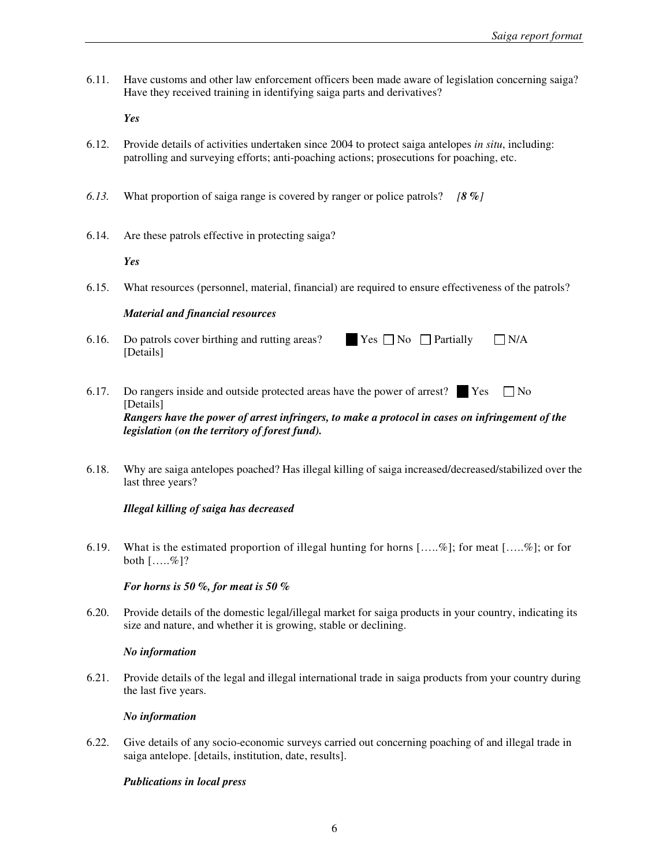6.11. Have customs and other law enforcement officers been made aware of legislation concerning saiga? Have they received training in identifying saiga parts and derivatives?

*Yes* 

- 6.12. Provide details of activities undertaken since 2004 to protect saiga antelopes *in situ*, including: patrolling and surveying efforts; anti-poaching actions; prosecutions for poaching, etc.
- *6.13.* What proportion of saiga range is covered by ranger or police patrols? *[8 %]*
- 6.14. Are these patrols effective in protecting saiga?

*Yes* 

6.15. What resources (personnel, material, financial) are required to ensure effectiveness of the patrols?

#### *Material and financial resources*

- 6.16. Do patrols cover birthing and rutting areas? Yes  $\Box$  No  $\Box$  Partially  $\Box$  N/A [Details]
- 6.17. Do rangers inside and outside protected areas have the power of arrest?  $\Box$  No [Details] *Rangers have the power of arrest infringers, to make a protocol in cases on infringement of the legislation (on the territory of forest fund).*
- 6.18. Why are saiga antelopes poached? Has illegal killing of saiga increased/decreased/stabilized over the last three years?

### *Illegal killing of saiga has decreased*

6.19. What is the estimated proportion of illegal hunting for horns  $[....\%]$ ; for meat  $[....\%]$ ; or for both  $[\ldots, \mathcal{C}]$ ?

### *For horns is 50 %, for meat is 50 %*

6.20. Provide details of the domestic legal/illegal market for saiga products in your country, indicating its size and nature, and whether it is growing, stable or declining.

#### *No information*

6.21. Provide details of the legal and illegal international trade in saiga products from your country during the last five years.

#### *No information*

6.22. Give details of any socio-economic surveys carried out concerning poaching of and illegal trade in saiga antelope. [details, institution, date, results].

### *Publications in local press*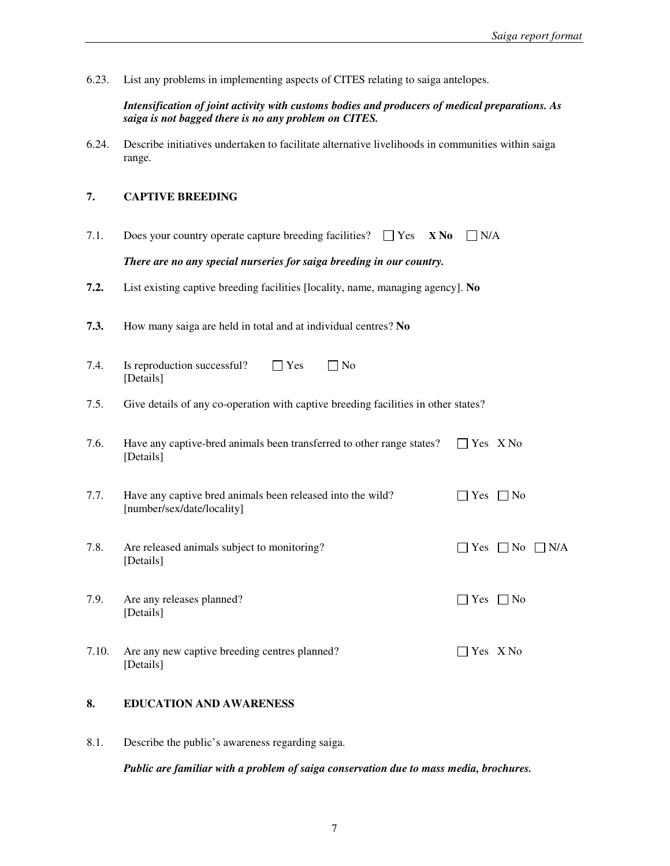6.23. List any problems in implementing aspects of CITES relating to saiga antelopes.

*Intensification of joint activity with customs bodies and producers of medical preparations. As saiga is not bagged there is no any problem on CITES.* 

6.24. Describe initiatives undertaken to facilitate alternative livelihoods in communities within saiga range.

## **7. CAPTIVE BREEDING**

7.1. Does your country operate capture breeding facilities?  $\Box$  Yes **X No**  $\Box$  N/A

*There are no any special nurseries for saiga breeding in our country.* 

- **7.2.** List existing captive breeding facilities [locality, name, managing agency]. **No**
- **7.3.** How many saiga are held in total and at individual centres? **No**
- 7.4. Is reproduction successful?  $\Box$  Yes  $\Box$  No [Details]
- 7.5. Give details of any co-operation with captive breeding facilities in other states?
- 7.6. Have any captive-bred animals been transferred to other range states?  $\Box$  Yes X No [Details]
- 7.7. Have any captive bred animals been released into the wild?  $\Box$  Yes  $\Box$  No [number/sex/date/locality]
- 7.8. Are released animals subject to monitoring?  $\Box$  Yes  $\Box$  No  $\Box$  N/A [Details]
- 7.9. Are any releases planned?  $\Box$  Yes  $\Box$  No [Details]
- 7.10. Are any new captive breeding centres planned?  $\Box$  Yes X No [Details]

# **8. EDUCATION AND AWARENESS**

8.1. Describe the public's awareness regarding saiga.

*Public are familiar with a problem of saiga conservation due to mass media, brochures.*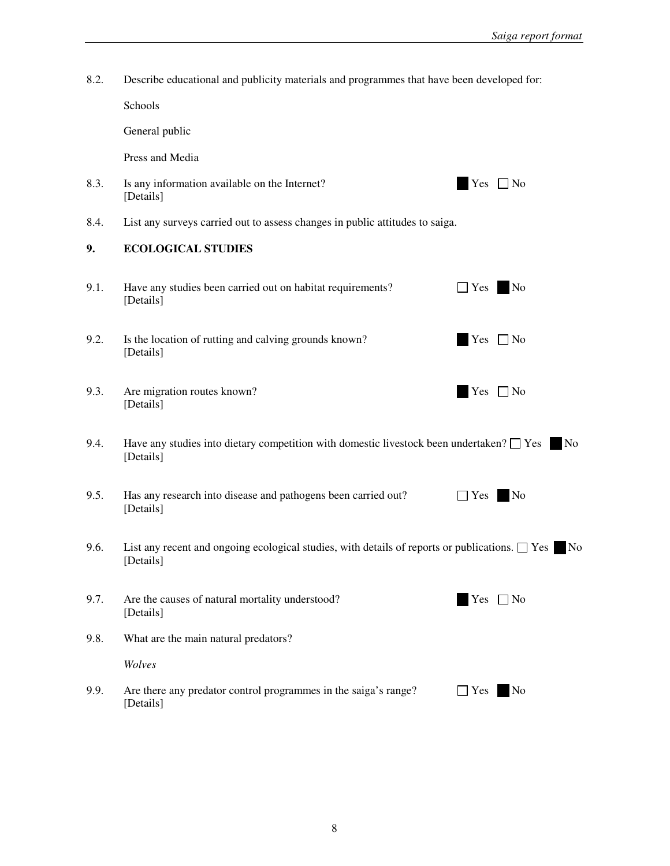8.2. Describe educational and publicity materials and programmes that have been developed for:

Schools

General public

Press and Media

- 8.3. Is any information available on the Internet?  $Yes \Box No$ [Details]
- 8.4. List any surveys carried out to assess changes in public attitudes to saiga.

# **9. ECOLOGICAL STUDIES**

| 9.1. | Have any studies been carried out on habitat requirements?<br>[Details]                          | <b>No</b><br>$\Box$ Yes |
|------|--------------------------------------------------------------------------------------------------|-------------------------|
| 9.2. | Is the location of rutting and calving grounds known?<br>[Details]                               | Yes $\Box$ No           |
| 9.3. | Are migration routes known?<br>[Details]                                                         | Yes $\Box$ No           |
| 9.4. | Have any studies into dietary competition with domestic livestock been undertaken? $\square$ Yes | <b>No</b>               |

- [Details]
- 9.5. Has any research into disease and pathogens been carried out?  $\Box$  Yes No [Details]
- 9.6. List any recent and ongoing ecological studies, with details of reports or publications.  $\Box$  Yes No [Details]

| 9.7. | Are the causes of natural mortality understood?<br>[Details] | Yes $\Box$ No |
|------|--------------------------------------------------------------|---------------|
| 9.8. | What are the main natural predators?                         |               |

*Wolves* 

9.9. Are there any predator control programmes in the saiga's range?  $\Box$  Yes No [Details]